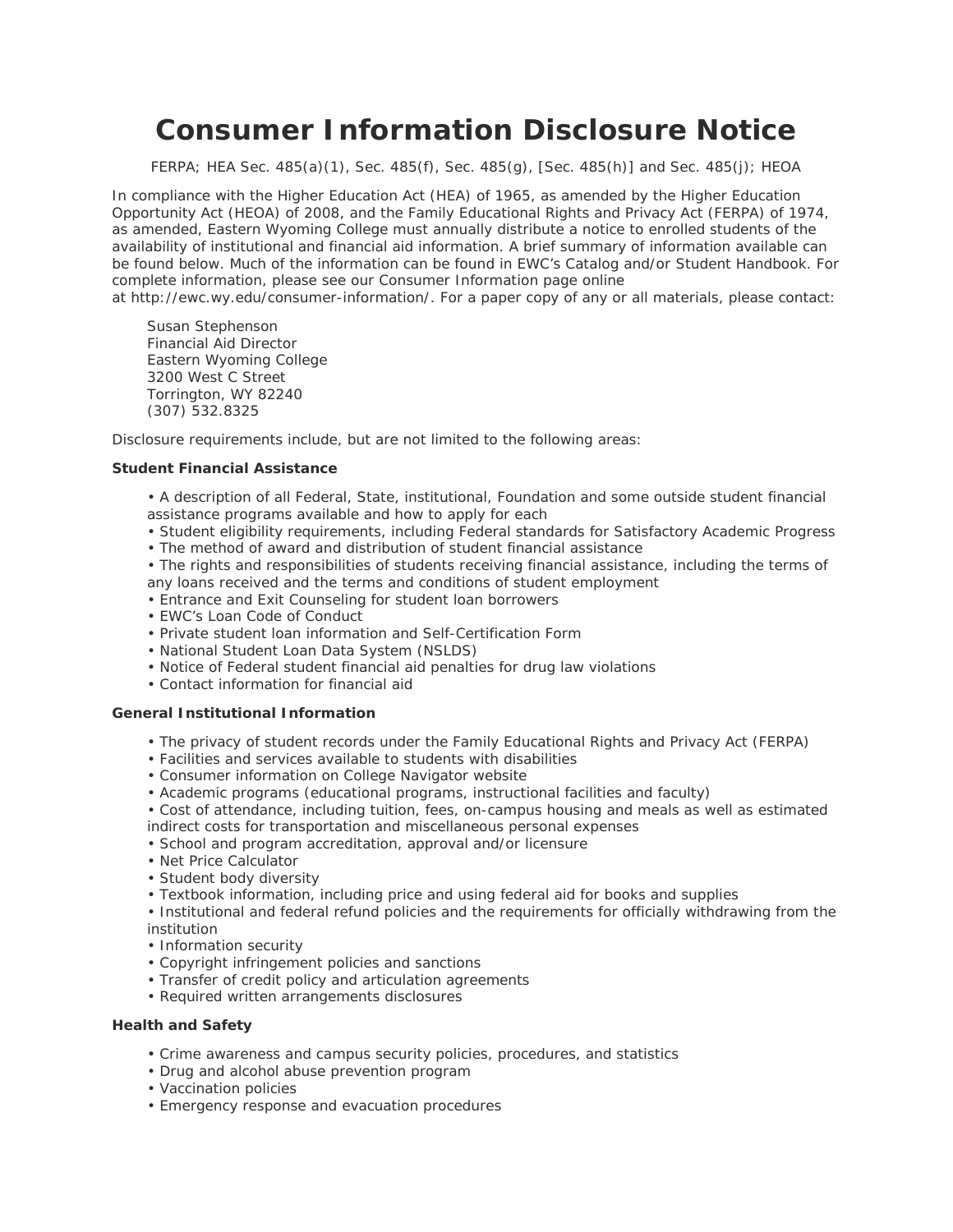# **Consumer Information Disclosure Notice**

*FERPA; HEA Sec. 485(a)(1), Sec. 485(f), Sec. 485(g), [Sec. 485(h)] and Sec. 485(j); HEOA*

In compliance with the Higher Education Act (HEA) of 1965, as amended by the Higher Education Opportunity Act (HEOA) of 2008, and the Family Educational Rights and Privacy Act (FERPA) of 1974, as amended, Eastern Wyoming College must annually distribute a notice to enrolled students of the availability of institutional and financial aid information. A brief summary of information available can be found below. Much of the information can be found in EWC's Catalog and/or Student Handbook. For complete information, please see our Consumer Information page online

at http://ewc.wy.edu/consumer-information/. For a paper copy of any or all materials, please contact:

Susan Stephenson Financial Aid Director Eastern Wyoming College 3200 West C Street Torrington, WY 82240 (307) 532.8325

Disclosure requirements include, but are not limited to the following areas:

### **Student Financial Assistance**

• A description of all Federal, State, institutional, Foundation and some outside student financial assistance programs available and how to apply for each

- Student eligibility requirements, including Federal standards for Satisfactory Academic Progress
- The method of award and distribution of student financial assistance
- The rights and responsibilities of students receiving financial assistance, including the terms of any loans received and the terms and conditions of student employment
- Entrance and Exit Counseling for student loan borrowers
- EWC's Loan Code of Conduct
- Private student loan information and Self-Certification Form
- National Student Loan Data System (NSLDS)
- Notice of Federal student financial aid penalties for drug law violations
- Contact information for financial aid

## **General Institutional Information**

- The privacy of student records under the Family Educational Rights and Privacy Act (FERPA)
- Facilities and services available to students with disabilities
- Consumer information on College Navigator website
- Academic programs (educational programs, instructional facilities and faculty)
- Cost of attendance, including tuition, fees, on-campus housing and meals as well as estimated indirect costs for transportation and miscellaneous personal expenses
- School and program accreditation, approval and/or licensure
- Net Price Calculator
- Student body diversity
- Textbook information, including price and using federal aid for books and supplies

• Institutional and federal refund policies and the requirements for officially withdrawing from the institution

- Information security
- Copyright infringement policies and sanctions
- Transfer of credit policy and articulation agreements
- Required written arrangements disclosures

# **Health and Safety**

- Crime awareness and campus security policies, procedures, and statistics
- Drug and alcohol abuse prevention program
- Vaccination policies
- Emergency response and evacuation procedures